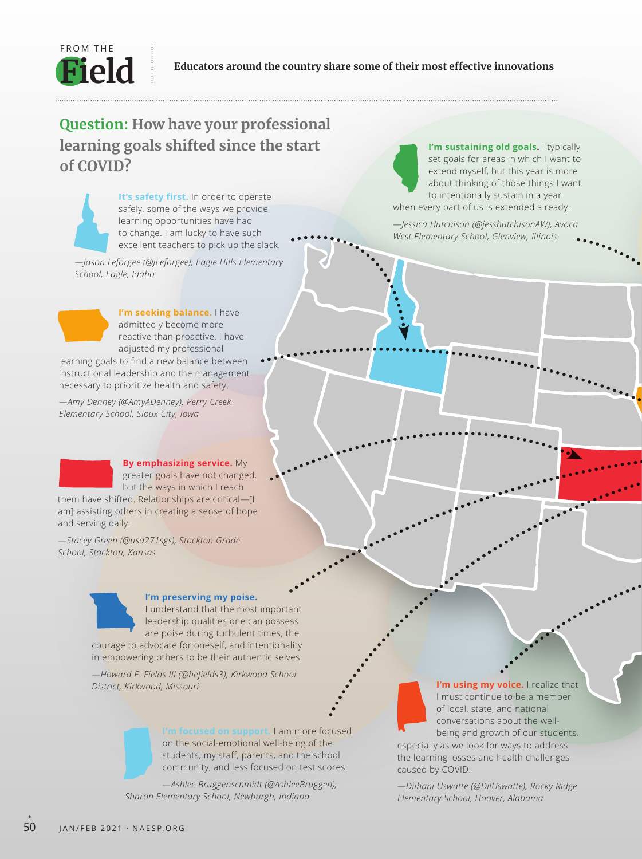

## **Question: How have your professional learning goals shifted since the start of COVID?**

**It's safety first.** In order to operate safely, some of the ways we provide learning opportunities have had to change. I am lucky to have such excellent teachers to pick up the slack.

*—Jason Leforgee (@JLeforgee), Eagle Hills Elementary School, Eagle, Idaho*

**I'm seeking balance.** I have admittedly become more reactive than proactive. I have adjusted my professional

learning goals to find a new balance between instructional leadership and the management necessary to prioritize health and safety.

*—Amy Denney (@AmyADenney), Perry Creek Elementary School, Sioux City, Iowa*

> **By emphasizing service.** My greater goals have not changed, but the ways in which I reach

them have shifted. Relationships are critical—[I am] assisting others in creating a sense of hope and serving daily.

*—Stacey Green (@usd271sgs), Stockton Grade School, Stockton, Kansas*



## **I'm preserving my poise.**

I understand that the most important leadership qualities one can possess are poise during turbulent times, the courage to advocate for oneself, and intentionality

*—Howard E. Fields III (@hefields3), Kirkwood School District, Kirkwood, Missouri*

in empowering others to be their authentic selves.



**I'm focused on support.** I am more focused on the social-emotional well-being of the students, my staff, parents, and the school community, and less focused on test scores.

*—Ashlee Bruggenschmidt (@AshleeBruggen), Sharon Elementary School, Newburgh, Indiana*

**I'm sustaining old goals.** I typically set goals for areas in which I want to extend myself, but this year is more about thinking of those things I want to intentionally sustain in a year when every part of us is extended already.

*—Jessica Hutchison (@jesshutchisonAW), Avoca West Elementary School, Glenview, Illinois*

> **I'm using my voice.** I realize that I must continue to be a member of local, state, and national conversations about the wellbeing and growth of our students,

especially as we look for ways to address the learning losses and health challenges caused by COVID.

*—Dilhani Uswatte (@DilUswatte), Rocky Ridge Elementary School, Hoover, Alabama*